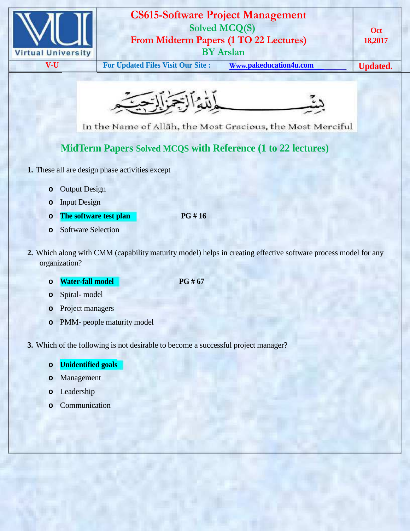

## **CS615-Software Project Management Solved MCQ(S) From Midterm Papers (1 TO 22 Lectures) BY Arslan**

**V-U For Updated Files Visit Our Site : Www.pakeducation4u.com Updated.** 

**Oct 18,2017**



In the Name of Allah, the Most Gracious, the Most Merciful

## **MidTerm Papers Solved MCQS with Reference (1 to 22 lectures)**

- **1.** These all are design phase activities except
	- **o** Output Design
	- **o** Input Design
	- **o The software test plan PG # 16**
	- **o** Software Selection
- **2.** Which along with CMM (capability maturity model) helps in creating effective software process model for any organization?

## **o Water-fall model PG # 67**

- **o** Spiral- model
- **o** Project managers
- **o** PMM- people maturity model
- **3.** Which of the following is not desirable to become a successful project manager?
	- **o Unidentified goals**
	- **o** Management
	- **o** Leadership
	- **o** Communication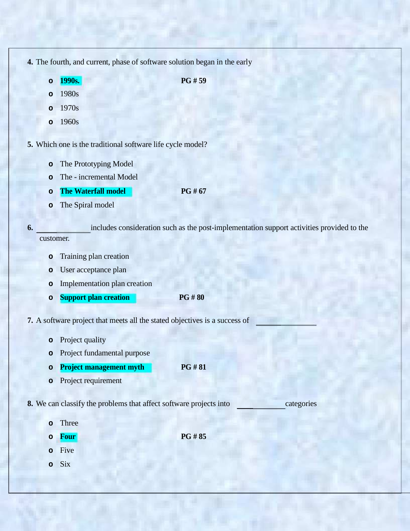| 4. The fourth, and current, phase of software solution began in the early |  |  |  |
|---------------------------------------------------------------------------|--|--|--|
|                                                                           |  |  |  |

**o 1990s. PG # 59**

**o** 1980s

- **o** 1970s
- **o** 1960s

**5.** Which one is the traditional software life cycle model?

- **o** The Prototyping Model
- **o** The incremental Model
- **o The Waterfall model PG # 67**
- **o** The Spiral model

**6.** includes consideration such as the post-implementation support activities provided to the customer.

- **o** Training plan creation
- **o** User acceptance plan
- **o** Implementation plan creation
- **o Support plan creation PG # 80**
- **7.** A software project that meets all the stated objectives is a success of
	- **o** Project quality
	- **o** Project fundamental purpose
	- **o Project management myth PG # 81**
	- **o** Project requirement

**8.** We can classify the problems that affect software projects into categories

- **o** Three
- **o Four PG # 85**

- **o** Five
- **o** Six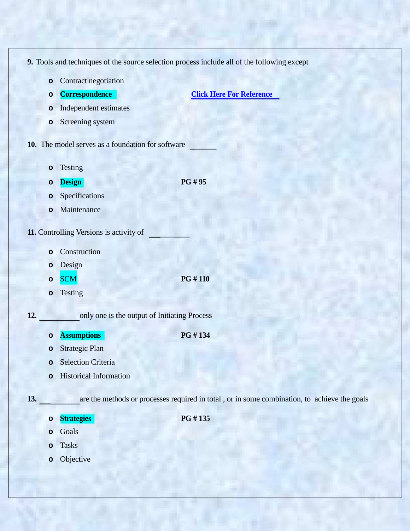**9.** Tools and techniques of the source selection process include all of the following except

- **o** Contract negotiation
- 

**o Correspondence Click Here For Reference**

- **o** Independent estimates
- **o** Screening system
- **10.** The model serves as a foundation for software
	- **o** Testing
	- **o Design PG # 95**
	- **o** Specifications
	- **o** Maintenance
- **11.** Controlling Versions is activity of
	- **o** Construction
	- **o** Design
	- **o** SCM **PG # 110**
	- **o** Testing

**12.** only one is the output of Initiating Process

**o Assumptions PG # 134**

**o Strategies PG # 135**

- **o** Strategic Plan
- **o** Selection Criteria
- **o** Historical Information

**13.** are the methods or processes required in total , or in some combination, to achieve the goals

- **o** Goals
- **o** Tasks
- **o** Objective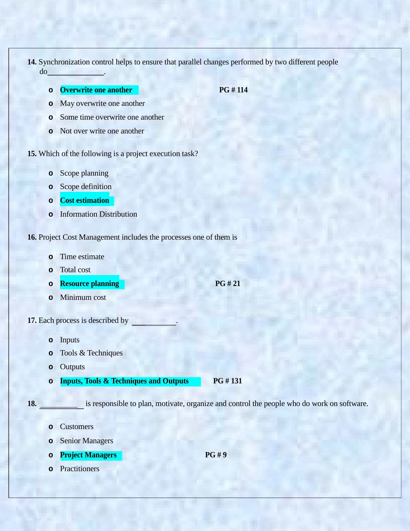- **14.** Synchronization control helps to ensure that parallel changes performed by two different people do .
	- **o Overwrite one another PG # 114**

- **o** May overwrite one another
- **o** Some time overwrite one another
- **o** Not over write one another
- **15.** Which of the following is a project execution task?
	- **o** Scope planning
	- **o** Scope definition
	- **o Cost estimation**
	- **o** Information Distribution

**16.** Project Cost Management includes the processes one of them is

- **o** Time estimate
- **o** Total cost
- **o Resource planning PG # 21**
- **o** Minimum cost
- **17.** Each process is described by .
	- **o** Inputs
	- **o** Tools & Techniques
	- **o** Outputs
	- **o Inputs, Tools & Techniques and Outputs PG # 131**

**18.** is responsible to plan, motivate, organize and control the people who do work on software.

- **o** Customers
- **o** Senior Managers
- **o Project Managers PG # 9**
- **o** Practitioners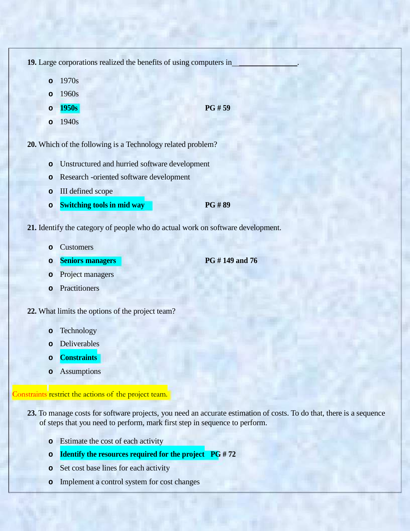**19.** Large corporations realized the benefits of using computers in .

- **o** 1970s
- **o** 1960s
- **o 1950s PG # 59 o** 1940s
	-

**20.** Which of the following is a Technology related problem?

- **o** Unstructured and hurried software development
- **o** Research -oriented software development
- **o** III defined scope
- **o Switching tools in mid way PG # 89**

**21.** Identify the category of people who do actual work on software development.

- **o** Customers
- **o Seniors managers PG # 149 and 76**

- **o** Project managers
- **o** Practitioners
- **22.** What limits the options of the project team?
	- **o** Technology
	- **o** Deliverables
	- **o Constraints**
	- **o** Assumptions

Constraints restrict the actions of the project team.

- **23.** To manage costs for software projects, you need an accurate estimation of costs. To do that, there is a sequence of steps that you need to perform, mark first step in sequence to perform.
	- **o** Estimate the cost of each activity
	- **o Identify the resources required for the project PG # 72**
	- **o** Set cost base lines for each activity
	- **o** Implement a control system for cost changes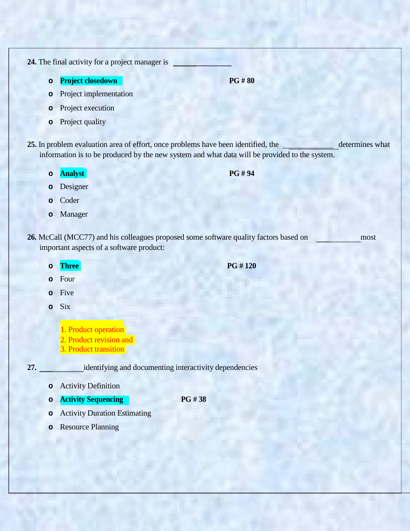**24.** The final activity for a project manager is

- **o Project closedown PG # 80**
- **o** Project implementation
- **o** Project execution
- **o** Project quality

25. In problem evaluation area of effort, once problems have been identified, the determines what information is to be produced by the new system and what data will be provided to the system.

**o Analyst PG # 94**

- **o** Designer
- **o** Coder
- **o** Manager

**26.** McCall (MCC77) and his colleagues proposed some software quality factors based on most important aspects of a software product:

- 
- **o** Four
- **o** Five
- **o** Six
	- 1. Product operation
	- 2. Product revision and
	- 3. Product transition

**27.** identifying and documenting interactivity dependencies

- **o** Activity Definition
- **o Activity Sequencing PG # 38**
- **o** Activity Duration Estimating
- **o** Resource Planning

**o Three PG # 120**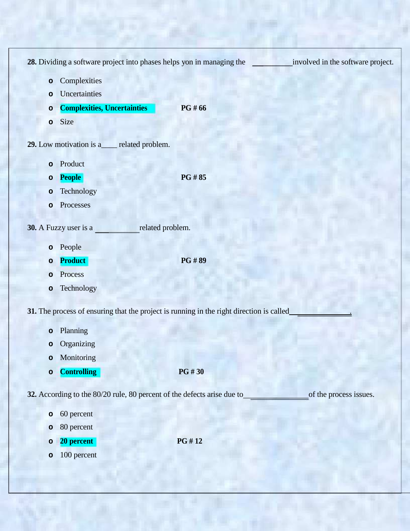|              | 28. Dividing a software project into phases helps yon in managing the   |                                                                                          | involved in the software project. |
|--------------|-------------------------------------------------------------------------|------------------------------------------------------------------------------------------|-----------------------------------|
| $\mathbf{o}$ | Complexities                                                            |                                                                                          |                                   |
| $\circ$      | Uncertainties                                                           |                                                                                          |                                   |
| $\circ$      | <b>Complexities, Uncertainties</b>                                      | PG #66                                                                                   |                                   |
| $\mathbf{o}$ | Size                                                                    |                                                                                          |                                   |
|              | 29. Low motivation is a<br>__ related problem.                          |                                                                                          |                                   |
| $\circ$      | Product                                                                 |                                                                                          |                                   |
| $\circ$      | <b>People</b>                                                           | <b>PG#85</b>                                                                             |                                   |
| $\circ$      | Technology                                                              |                                                                                          |                                   |
| $\circ$      | Processes                                                               |                                                                                          |                                   |
|              | 30. A Fuzzy user is a                                                   | related problem.                                                                         |                                   |
| $\mathbf{o}$ | People                                                                  |                                                                                          |                                   |
| $\circ$      | <b>Product</b>                                                          | <b>PG#89</b>                                                                             |                                   |
| $\circ$      | Process                                                                 |                                                                                          |                                   |
| $\circ$      | Technology                                                              |                                                                                          |                                   |
|              |                                                                         | 31. The process of ensuring that the project is running in the right direction is called |                                   |
| $\circ$      | Planning                                                                |                                                                                          |                                   |
| $\circ$      | Organizing                                                              |                                                                                          |                                   |
| $\circ$      | Monitoring                                                              |                                                                                          |                                   |
| $\mathbf{o}$ | <b>Controlling</b>                                                      | <b>PG#30</b>                                                                             |                                   |
|              | 32. According to the 80/20 rule, 80 percent of the defects arise due to |                                                                                          | of the process issues.            |
| $\mathbf{o}$ | 60 percent                                                              |                                                                                          |                                   |
| $\circ$      | 80 percent                                                              |                                                                                          |                                   |
| $\circ$      | 20 percent                                                              | PG #12                                                                                   |                                   |
| $\mathbf{o}$ | 100 percent                                                             |                                                                                          |                                   |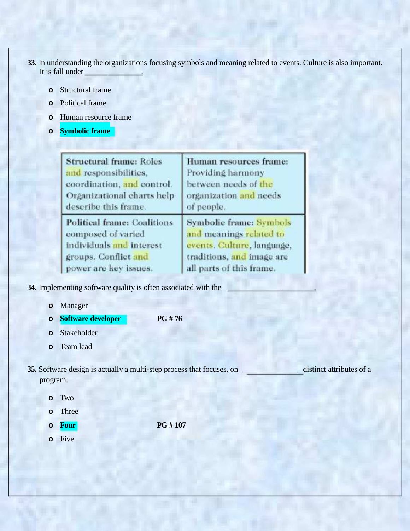- **33.** In understanding the organizations focusing symbols and meaning related to events. Culture is also important. It is fall under
	- **o** Structural frame
	- **o** Political frame
	- **o** Human resource frame
	- **o Symbolic frame**

| <b>Structural frame: Roles</b> | Human resources frame:     |
|--------------------------------|----------------------------|
| and responsibilities,          | Providing harmony          |
| coordination, and control.     | between needs of the       |
| Organizational charts help     | organization and needs     |
| describe this frame.           | of people.                 |
| Political frame: Coalitions    | Symbolic frame: Symbols    |
| composed of varied             | and meanings related to    |
| individuals and interest       | events. Culture, language, |
| groups. Conflict and           | traditions, and image are  |
| power are key issues.          | all parts of this frame.   |

**34.** Implementing software quality is often associated with the .

- **o** Manager
- **o Software developer PG # 76**
- **o** Stakeholder
- **o** Team lead

**35.** Software design is actually a multi-step process that focuses, on distinct attributes of a program.

- **o** Two
- **o** Three
- **o Four PG # 107**
- **o** Five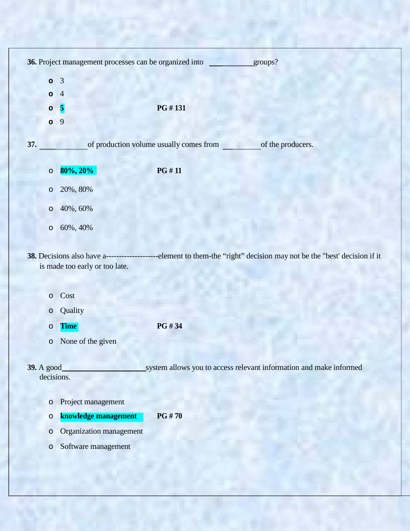|                    | 36. Project management processes can be organized into |                                         | groups?                                                                                                                |
|--------------------|--------------------------------------------------------|-----------------------------------------|------------------------------------------------------------------------------------------------------------------------|
|                    |                                                        |                                         |                                                                                                                        |
| $\circ$<br>$\circ$ | $\overline{3}$<br>$\overline{4}$                       |                                         |                                                                                                                        |
| $\circ$            | $\overline{\mathbf{5}}$                                | PG #131                                 |                                                                                                                        |
| $\circ$            | 9                                                      |                                         |                                                                                                                        |
|                    |                                                        |                                         |                                                                                                                        |
| 37.                |                                                        | of production volume usually comes from | of the producers.                                                                                                      |
| $\circ$            | 80%, 20%                                               | <b>PG#11</b>                            |                                                                                                                        |
| $\circ$            | 20%, 80%                                               |                                         |                                                                                                                        |
| $\circ$            | 40%, 60%                                               |                                         |                                                                                                                        |
| $\circ$            | 60%, 40%                                               |                                         |                                                                                                                        |
|                    | is made too early or too late.                         |                                         | 38. Decisions also have a--------------------element to them-the "right" decision may not be the "best' decision if it |
| $\circ$            | Cost                                                   |                                         |                                                                                                                        |
| $\circ$            | Quality                                                |                                         |                                                                                                                        |
| $\circ$            | <b>Time</b>                                            | PG #34                                  |                                                                                                                        |
| $\circ$            | None of the given                                      |                                         |                                                                                                                        |
| 39. A good         | decisions.                                             |                                         | system allows you to access relevant information and make informed                                                     |
| $\circ$            | Project management                                     |                                         |                                                                                                                        |
| $\circ$            | knowledge management                                   | <b>PG#70</b>                            |                                                                                                                        |
| $\circ$            | Organization management                                |                                         |                                                                                                                        |
| $\circ$            | Software management                                    |                                         |                                                                                                                        |

ī,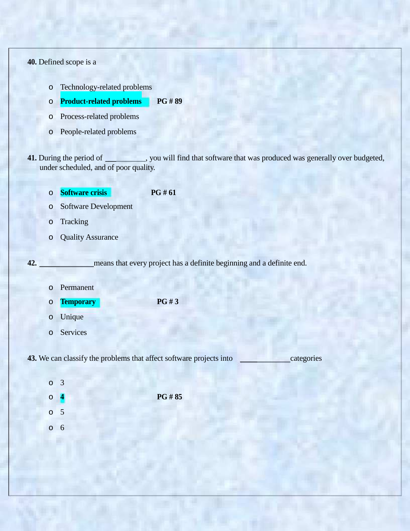**40.** Defined scope is a

- o Technology-related problems
- o **Product-related problems PG # 89**
- o Process-related problems
- o People-related problems
- **41.** During the period of \_\_\_\_\_\_\_\_\_, you will find that software that was produced was generally over budgeted, under scheduled, and of poor quality.
	- o **Software crisis PG # 61**
	- o Software Development
	- o Tracking
	- o Quality Assurance

**42.** means that every project has a definite beginning and a definite end.

- o Permanent
- o **Temporary PG # 3**
- o Unique
- o Services

**43.** We can classify the problems that affect software projects into categories

o 3 o **4 PG # 85** o 5 o 6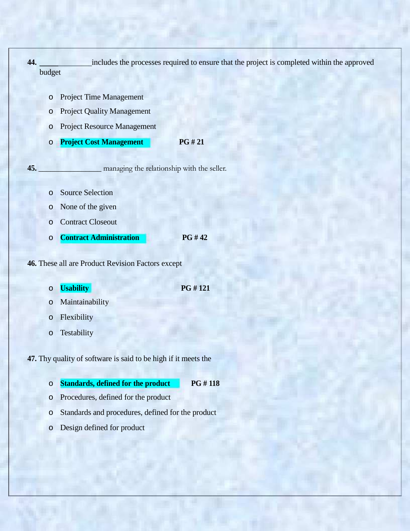| 44. | budget       | includes the processes required to ensure that the project is completed within the approved |  |
|-----|--------------|---------------------------------------------------------------------------------------------|--|
|     |              |                                                                                             |  |
|     | $\circ$      | <b>Project Time Management</b>                                                              |  |
|     | O            | <b>Project Quality Management</b>                                                           |  |
|     | O            | <b>Project Resource Management</b>                                                          |  |
|     | $\circ$      | <b>Project Cost Management</b><br>PG # 21                                                   |  |
|     |              |                                                                                             |  |
| 45. |              | managing the relationship with the seller.                                                  |  |
|     | $\circ$      | <b>Source Selection</b>                                                                     |  |
|     | $\circ$      | None of the given                                                                           |  |
|     | $\circ$      | <b>Contract Closeout</b>                                                                    |  |
|     | $\circ$      | <b>PG#42</b><br><b>Contract Administration</b>                                              |  |
|     |              |                                                                                             |  |
|     |              | 46. These all are Product Revision Factors except                                           |  |
|     |              | PG #121                                                                                     |  |
|     | $\circ$<br>O | <b>Usability</b><br>Maintainability                                                         |  |
|     | $\circ$      | Flexibility                                                                                 |  |
|     | $\circ$      | Testability                                                                                 |  |
|     |              |                                                                                             |  |
|     |              | 47. Thy quality of software is said to be high if it meets the                              |  |
|     |              |                                                                                             |  |
|     | $\circ$      | <b>Standards, defined for the product</b><br>PG #118                                        |  |
|     | $\circ$      | Procedures, defined for the product                                                         |  |
|     | $\circ$      | Standards and procedures, defined for the product                                           |  |
|     | $\circ$      | Design defined for product                                                                  |  |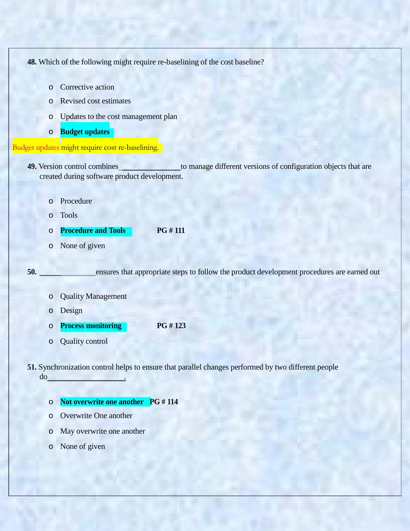**48.** Which of the following might require re-baselining of the cost baseline?

- o Corrective action
- o Revised cost estimates
- o Updates to the cost management plan
- o **Budget updates**

## Budget updates might require cost re-baselining.

- **49.** Version control combines to manage different versions of configuration objects that are created during software product development.
	- o Procedure
	- o Tools

o **Procedure and Tools PG # 111**

o None of given

**50.** ensures that appropriate steps to follow the product development procedures are earned out

- o Quality Management
- o Design
- o **Process monitoring PG # 123**
- o Quality control

**51.** Synchronization control helps to ensure that parallel changes performed by two different people do .

- o **Not overwrite one another PG # 114**
- o Overwrite One another
- o May overwrite one another
- o None of given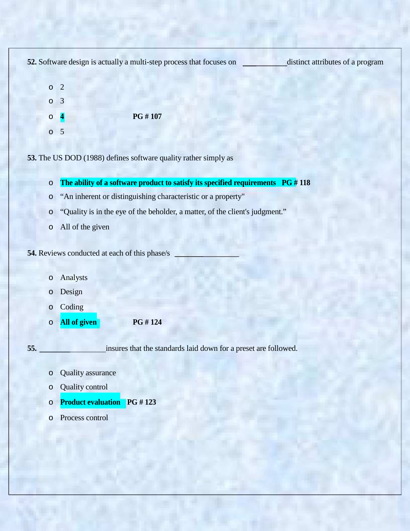**52.** Software design is actually a multi-step process that focuses on distinct attributes of a program o 2 o 3 o **4 PG # 107** o 5 **53.** The US DOD (1988) defines software quality rather simply as o **The ability of a software product to satisfy its specified requirements PG # 118** o "An inherent or distinguishing characteristic or a property" o "Quality is in the eye of the beholder, a matter, of the client's judgment." o All of the given **54.** Reviews conducted at each of this phase/s o Analysts o Design o Coding o **All of given PG # 124 55. insures that the standards laid down for a preset are followed.** o Quality assurance o Quality control o **Product evaluation PG # 123** o Process control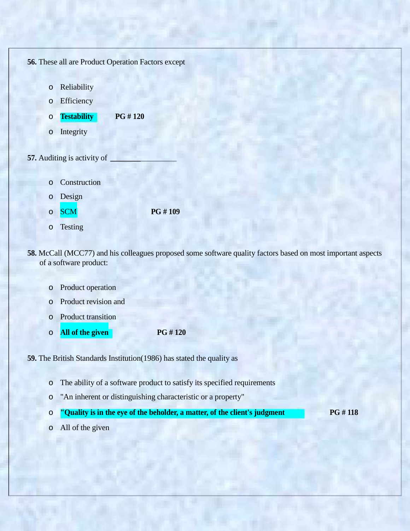**56.** These all are Product Operation Factors except

- o Reliability
- o Efficiency
- o **Testability PG # 120**
- o Integrity
- **57.** Auditing is activity of
	- o Construction
	- o Design
	- o SCM **PG # 109**
	- o Testing
- **58.** McCall (MCC77) and his colleagues proposed some software quality factors based on most important aspects of a software product:
	- o Product operation
	- o Product revision and
	- o Product transition
	- o **All of the given PG # 120**

**59.** The British Standards Institution(1986) has stated the quality as

- o The ability of a software product to satisfy its specified requirements
- o "An inherent or distinguishing characteristic or a property"
- o **"Quality is in the eye of the beholder, a matter, of the client's judgment PG # 118**
- o All of the given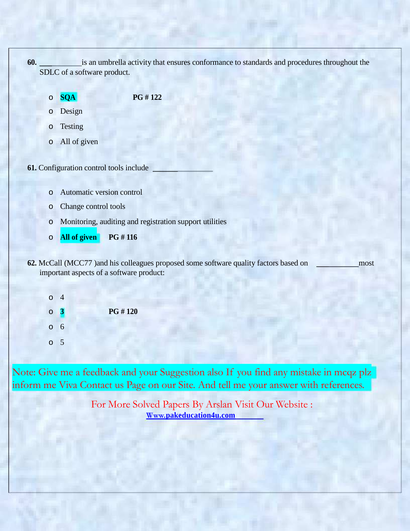

- o **SQA PG # 122**
- o Design
- o Testing
- o All of given
- **61.** Configuration control tools include
	- o Automatic version control
	- o Change control tools
	- o Monitoring, auditing and registration support utilities
	- o **All of given PG # 116**
- **62.** McCall (MCC77) and his colleagues proposed some software quality factors based on most important aspects of a software product:
	- o 4 o **3 PG # 120** o 6 o 5

Note: Give me a feedback and your Suggestion also If you find any mistake in mcqz plz inform me Viva Contact us Page on our Site. And tell me your answer with references.

> For More Solved Papers By Arslan Visit Our Website : **Www.pakeducation4u.com**